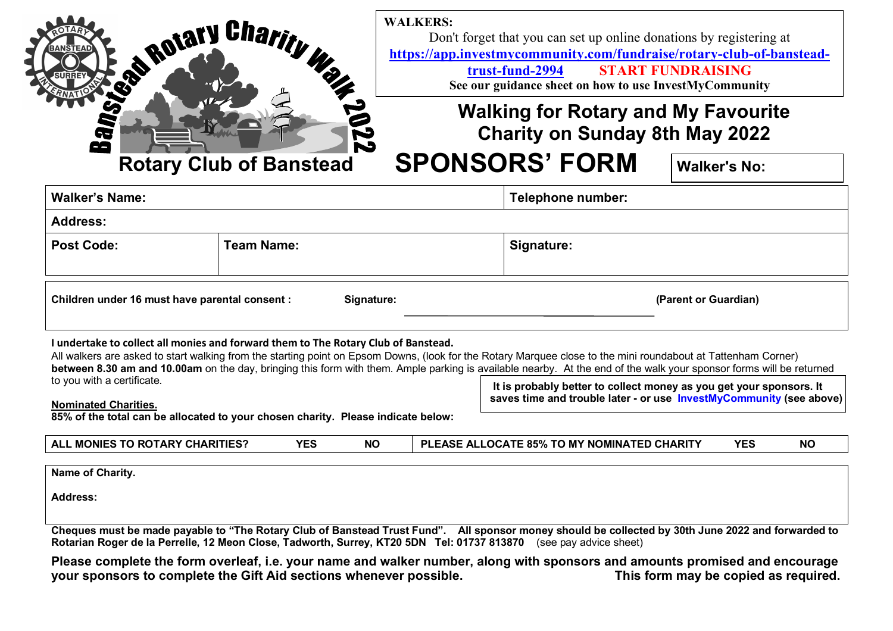

**WALKERS:** Don't forget that you can set up online donations by registering at **https://app.investmycommunity.com/fundraise/rotary-club-of-banstead-**

**trust-fund-2994START FUNDRAISING**

**See our guidance sheet on how to use InvestMyCommunity** 

## **Walking for Rotary and My Favourite Charity on Sunday 8th May 2022**

# **SPONSORS' FORM Walker's No:**

| <b>Walker's Name:</b>                          |                   |  | Telephone number:    |  |  |
|------------------------------------------------|-------------------|--|----------------------|--|--|
| <b>Address:</b>                                |                   |  |                      |  |  |
| <b>Post Code:</b>                              | <b>Team Name:</b> |  | Signature:           |  |  |
|                                                |                   |  |                      |  |  |
| Children under 16 must have parental consent : | Signature:        |  | (Parent or Guardian) |  |  |

#### **I undertake to collect all monies and forward them to The Rotary Club of Banstead.**

 All walkers are asked to start walking from the starting point on Epsom Downs, (look for the Rotary Marquee close to the mini roundabout at Tattenham Corner) **between 8.30 am and 10.00am** on the day, bringing this form with them. Ample parking is available nearby. At the end of the walk your sponsor forms will be returned to you with a certificate.

 **It is probably better to collect money as you get your sponsors. It saves time and trouble later - or use InvestMyCommunity (see above)**

**Nominated Charities.** 

**85% of the total can be allocated to your chosen charity. Please indicate below:** 

| <b>YES</b><br><b>NC</b><br>ALL MONIES TO ROTARY CHARITIES? |  | <b>''LLOCATE 85% TO MY NOMINATED CHARITY</b><br>EASE<br>DI. | <b>YES</b> | <b>NC</b> |
|------------------------------------------------------------|--|-------------------------------------------------------------|------------|-----------|
|------------------------------------------------------------|--|-------------------------------------------------------------|------------|-----------|

**Name of Charity.** 

**Address:** 

**Cheques must be made payable to "The Rotary Club of Banstead Trust Fund". All sponsor money should be collected by 30th June 2022 and forwarded to Rotarian Roger de la Perrelle, 12 Meon Close, Tadworth, Surrey, KT20 5DN Tel: 01737 813870** (see pay advice sheet)

**Please complete the form overleaf, i.e. your name and walker number, along with sponsors and amounts promised and encourage** This form may be copied as required. your sponsors to complete the Gift Aid sections whenever possible.